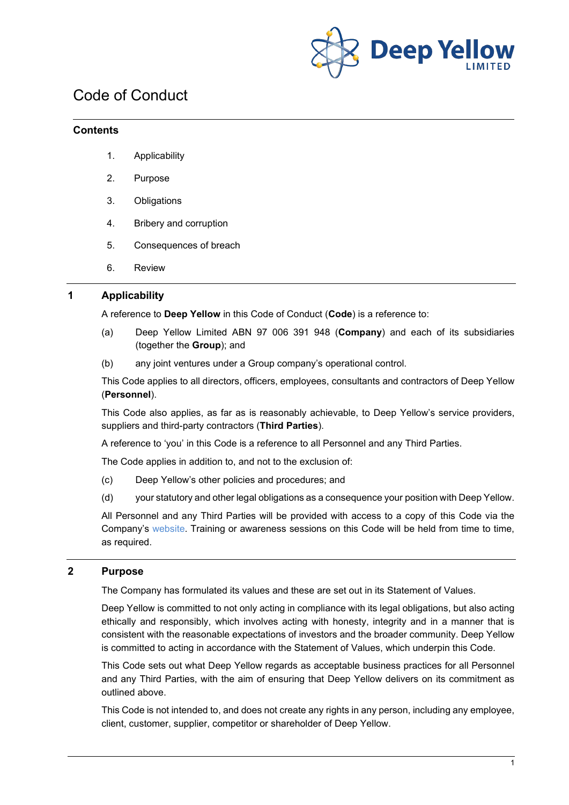

# Code of Conduct

#### **Contents**

- 1. Applicability
- 2. Purpose
- 3. Obligations
- 4. Bribery and corruption
- 5. Consequences of breach
- 6. Review

## **1 Applicability**

A reference to **Deep Yellow** in this Code of Conduct (**Code**) is a reference to:

- (a) Deep Yellow Limited ABN 97 006 391 948 (**Company**) and each of its subsidiaries (together the **Group**); and
- (b) any joint ventures under a Group company's operational control.

This Code applies to all directors, officers, employees, consultants and contractors of Deep Yellow (**Personnel**).

This Code also applies, as far as is reasonably achievable, to Deep Yellow's service providers, suppliers and third-party contractors (**Third Parties**).

A reference to 'you' in this Code is a reference to all Personnel and any Third Parties.

The Code applies in addition to, and not to the exclusion of:

- (c) Deep Yellow's other policies and procedures; and
- (d) your statutory and other legal obligations as a consequence your position with Deep Yellow.

All Personnel and any Third Parties will be provided with access to a copy of this Code via the Company's [website.](http://www.deepyellow.com.au/index.html) Training or awareness sessions on this Code will be held from time to time, as required.

#### **2 Purpose**

The Company has formulated its values and these are set out in its Statement of Values.

Deep Yellow is committed to not only acting in compliance with its legal obligations, but also acting ethically and responsibly, which involves acting with honesty, integrity and in a manner that is consistent with the reasonable expectations of investors and the broader community. Deep Yellow is committed to acting in accordance with the Statement of Values, which underpin this Code.

This Code sets out what Deep Yellow regards as acceptable business practices for all Personnel and any Third Parties, with the aim of ensuring that Deep Yellow delivers on its commitment as outlined above.

This Code is not intended to, and does not create any rights in any person, including any employee, client, customer, supplier, competitor or shareholder of Deep Yellow.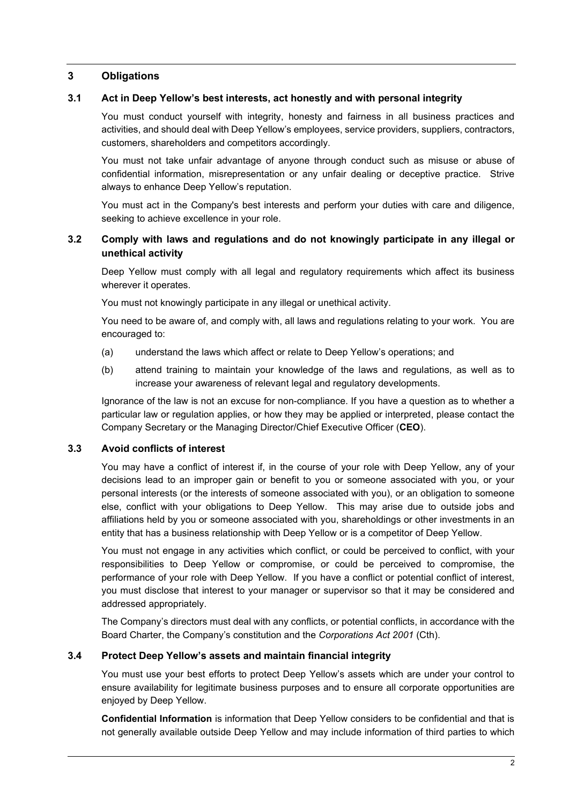## **3 Obligations**

#### **3.1 Act in Deep Yellow's best interests, act honestly and with personal integrity**

You must conduct yourself with integrity, honesty and fairness in all business practices and activities, and should deal with Deep Yellow's employees, service providers, suppliers, contractors, customers, shareholders and competitors accordingly.

You must not take unfair advantage of anyone through conduct such as misuse or abuse of confidential information, misrepresentation or any unfair dealing or deceptive practice. Strive always to enhance Deep Yellow's reputation.

You must act in the Company's best interests and perform your duties with care and diligence, seeking to achieve excellence in your role.

## **3.2 Comply with laws and regulations and do not knowingly participate in any illegal or unethical activity**

Deep Yellow must comply with all legal and regulatory requirements which affect its business wherever it operates.

You must not knowingly participate in any illegal or unethical activity.

You need to be aware of, and comply with, all laws and regulations relating to your work. You are encouraged to:

- (a) understand the laws which affect or relate to Deep Yellow's operations; and
- (b) attend training to maintain your knowledge of the laws and regulations, as well as to increase your awareness of relevant legal and regulatory developments.

Ignorance of the law is not an excuse for non-compliance. If you have a question as to whether a particular law or regulation applies, or how they may be applied or interpreted, please contact the Company Secretary or the Managing Director/Chief Executive Officer (**CEO**).

#### **3.3 Avoid conflicts of interest**

You may have a conflict of interest if, in the course of your role with Deep Yellow, any of your decisions lead to an improper gain or benefit to you or someone associated with you, or your personal interests (or the interests of someone associated with you), or an obligation to someone else, conflict with your obligations to Deep Yellow. This may arise due to outside jobs and affiliations held by you or someone associated with you, shareholdings or other investments in an entity that has a business relationship with Deep Yellow or is a competitor of Deep Yellow.

You must not engage in any activities which conflict, or could be perceived to conflict, with your responsibilities to Deep Yellow or compromise, or could be perceived to compromise, the performance of your role with Deep Yellow. If you have a conflict or potential conflict of interest, you must disclose that interest to your manager or supervisor so that it may be considered and addressed appropriately.

The Company's directors must deal with any conflicts, or potential conflicts, in accordance with the Board Charter, the Company's constitution and the *Corporations Act 2001* (Cth).

#### **3.4 Protect Deep Yellow's assets and maintain financial integrity**

You must use your best efforts to protect Deep Yellow's assets which are under your control to ensure availability for legitimate business purposes and to ensure all corporate opportunities are enjoyed by Deep Yellow.

**Confidential Information** is information that Deep Yellow considers to be confidential and that is not generally available outside Deep Yellow and may include information of third parties to which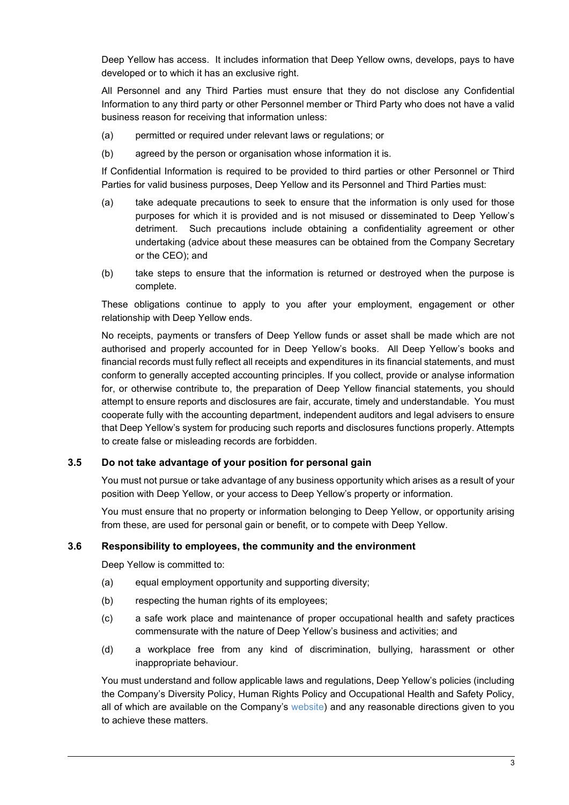Deep Yellow has access. It includes information that Deep Yellow owns, develops, pays to have developed or to which it has an exclusive right.

All Personnel and any Third Parties must ensure that they do not disclose any Confidential Information to any third party or other Personnel member or Third Party who does not have a valid business reason for receiving that information unless:

- (a) permitted or required under relevant laws or regulations; or
- (b) agreed by the person or organisation whose information it is.

If Confidential Information is required to be provided to third parties or other Personnel or Third Parties for valid business purposes, Deep Yellow and its Personnel and Third Parties must:

- (a) take adequate precautions to seek to ensure that the information is only used for those purposes for which it is provided and is not misused or disseminated to Deep Yellow's detriment. Such precautions include obtaining a confidentiality agreement or other undertaking (advice about these measures can be obtained from the Company Secretary or the CEO); and
- (b) take steps to ensure that the information is returned or destroyed when the purpose is complete.

These obligations continue to apply to you after your employment, engagement or other relationship with Deep Yellow ends.

No receipts, payments or transfers of Deep Yellow funds or asset shall be made which are not authorised and properly accounted for in Deep Yellow's books. All Deep Yellow's books and financial records must fully reflect all receipts and expenditures in its financial statements, and must conform to generally accepted accounting principles. If you collect, provide or analyse information for, or otherwise contribute to, the preparation of Deep Yellow financial statements, you should attempt to ensure reports and disclosures are fair, accurate, timely and understandable. You must cooperate fully with the accounting department, independent auditors and legal advisers to ensure that Deep Yellow's system for producing such reports and disclosures functions properly. Attempts to create false or misleading records are forbidden.

## **3.5 Do not take advantage of your position for personal gain**

You must not pursue or take advantage of any business opportunity which arises as a result of your position with Deep Yellow, or your access to Deep Yellow's property or information.

You must ensure that no property or information belonging to Deep Yellow, or opportunity arising from these, are used for personal gain or benefit, or to compete with Deep Yellow.

#### **3.6 Responsibility to employees, the community and the environment**

Deep Yellow is committed to:

- (a) equal employment opportunity and supporting diversity;
- (b) respecting the human rights of its employees;
- (c) a safe work place and maintenance of proper occupational health and safety practices commensurate with the nature of Deep Yellow's business and activities; and
- (d) a workplace free from any kind of discrimination, bullying, harassment or other inappropriate behaviour.

You must understand and follow applicable laws and regulations, Deep Yellow's policies (including the Company's Diversity Policy, Human Rights Policy and Occupational Health and Safety Policy, all of which are available on the Company's [website\)](http://www.deepyellow.com.au/index.html) and any reasonable directions given to you to achieve these matters.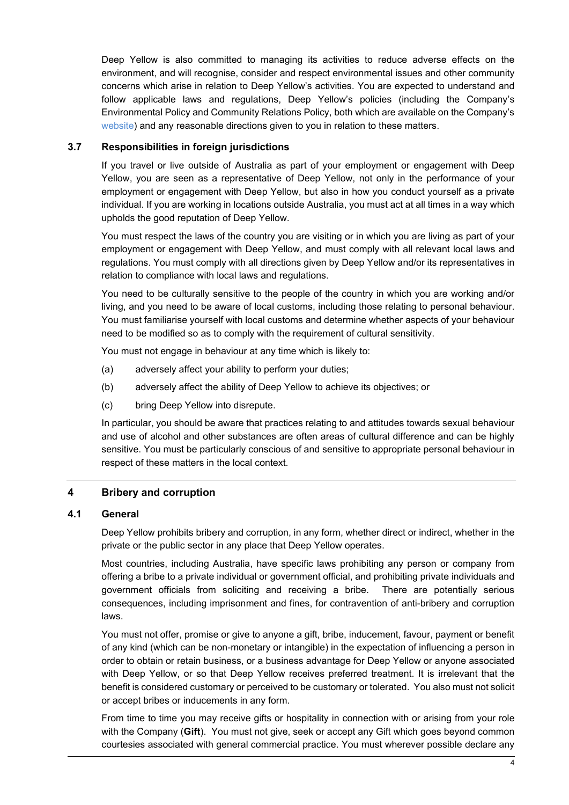Deep Yellow is also committed to managing its activities to reduce adverse effects on the environment, and will recognise, consider and respect environmental issues and other community concerns which arise in relation to Deep Yellow's activities. You are expected to understand and follow applicable laws and regulations, Deep Yellow's policies (including the Company's Environmental Policy and Community Relations Policy, both which are available on the Company's [website\)](http://www.deepyellow.com.au/index.html) and any reasonable directions given to you in relation to these matters.

## **3.7 Responsibilities in foreign jurisdictions**

If you travel or live outside of Australia as part of your employment or engagement with Deep Yellow, you are seen as a representative of Deep Yellow, not only in the performance of your employment or engagement with Deep Yellow, but also in how you conduct yourself as a private individual. If you are working in locations outside Australia, you must act at all times in a way which upholds the good reputation of Deep Yellow.

You must respect the laws of the country you are visiting or in which you are living as part of your employment or engagement with Deep Yellow, and must comply with all relevant local laws and regulations. You must comply with all directions given by Deep Yellow and/or its representatives in relation to compliance with local laws and regulations.

You need to be culturally sensitive to the people of the country in which you are working and/or living, and you need to be aware of local customs, including those relating to personal behaviour. You must familiarise yourself with local customs and determine whether aspects of your behaviour need to be modified so as to comply with the requirement of cultural sensitivity.

You must not engage in behaviour at any time which is likely to:

- (a) adversely affect your ability to perform your duties;
- (b) adversely affect the ability of Deep Yellow to achieve its objectives; or
- (c) bring Deep Yellow into disrepute.

In particular, you should be aware that practices relating to and attitudes towards sexual behaviour and use of alcohol and other substances are often areas of cultural difference and can be highly sensitive. You must be particularly conscious of and sensitive to appropriate personal behaviour in respect of these matters in the local context.

## **4 Bribery and corruption**

#### **4.1 General**

Deep Yellow prohibits bribery and corruption, in any form, whether direct or indirect, whether in the private or the public sector in any place that Deep Yellow operates.

Most countries, including Australia, have specific laws prohibiting any person or company from offering a bribe to a private individual or government official, and prohibiting private individuals and government officials from soliciting and receiving a bribe. There are potentially serious consequences, including imprisonment and fines, for contravention of anti-bribery and corruption laws.

You must not offer, promise or give to anyone a gift, bribe, inducement, favour, payment or benefit of any kind (which can be non-monetary or intangible) in the expectation of influencing a person in order to obtain or retain business, or a business advantage for Deep Yellow or anyone associated with Deep Yellow, or so that Deep Yellow receives preferred treatment. It is irrelevant that the benefit is considered customary or perceived to be customary or tolerated. You also must not solicit or accept bribes or inducements in any form.

From time to time you may receive gifts or hospitality in connection with or arising from your role with the Company (**Gift**). You must not give, seek or accept any Gift which goes beyond common courtesies associated with general commercial practice. You must wherever possible declare any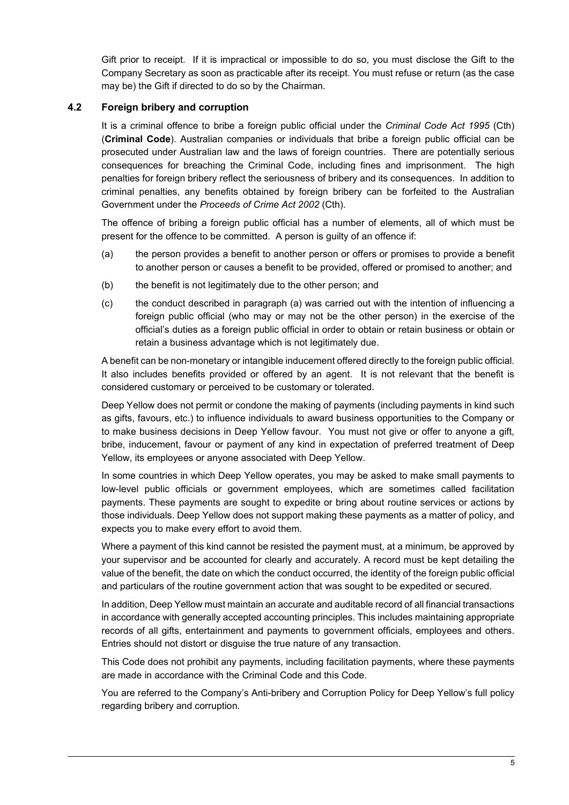Gift prior to receipt. If it is impractical or impossible to do so, you must disclose the Gift to the Company Secretary as soon as practicable after its receipt. You must refuse or return (as the case may be) the Gift if directed to do so by the Chairman.

## **4.2 Foreign bribery and corruption**

It is a criminal offence to bribe a foreign public official under the *Criminal Code Act 1995* (Cth) (**Criminal Code**). Australian companies or individuals that bribe a foreign public official can be prosecuted under Australian law and the laws of foreign countries. There are potentially serious consequences for breaching the Criminal Code, including fines and imprisonment. The high penalties for foreign bribery reflect the seriousness of bribery and its consequences. In addition to criminal penalties, any benefits obtained by foreign bribery can be forfeited to the Australian Government under the *Proceeds of Crime Act 2002* (Cth).

The offence of bribing a foreign public official has a number of elements, all of which must be present for the offence to be committed. A person is guilty of an offence if:

- (a) the person provides a benefit to another person or offers or promises to provide a benefit to another person or causes a benefit to be provided, offered or promised to another; and
- (b) the benefit is not legitimately due to the other person; and
- (c) the conduct described in paragraph (a) was carried out with the intention of influencing a foreign public official (who may or may not be the other person) in the exercise of the official's duties as a foreign public official in order to obtain or retain business or obtain or retain a business advantage which is not legitimately due.

A benefit can be non-monetary or intangible inducement offered directly to the foreign public official. It also includes benefits provided or offered by an agent. It is not relevant that the benefit is considered customary or perceived to be customary or tolerated.

Deep Yellow does not permit or condone the making of payments (including payments in kind such as gifts, favours, etc.) to influence individuals to award business opportunities to the Company or to make business decisions in Deep Yellow favour. You must not give or offer to anyone a gift, bribe, inducement, favour or payment of any kind in expectation of preferred treatment of Deep Yellow, its employees or anyone associated with Deep Yellow.

In some countries in which Deep Yellow operates, you may be asked to make small payments to low-level public officials or government employees, which are sometimes called facilitation payments. These payments are sought to expedite or bring about routine services or actions by those individuals. Deep Yellow does not support making these payments as a matter of policy, and expects you to make every effort to avoid them.

Where a payment of this kind cannot be resisted the payment must, at a minimum, be approved by your supervisor and be accounted for clearly and accurately. A record must be kept detailing the value of the benefit, the date on which the conduct occurred, the identity of the foreign public official and particulars of the routine government action that was sought to be expedited or secured.

In addition, Deep Yellow must maintain an accurate and auditable record of all financial transactions in accordance with generally accepted accounting principles. This includes maintaining appropriate records of all gifts, entertainment and payments to government officials, employees and others. Entries should not distort or disguise the true nature of any transaction.

This Code does not prohibit any payments, including facilitation payments, where these payments are made in accordance with the Criminal Code and this Code.

You are referred to the Company's Anti-bribery and Corruption Policy for Deep Yellow's full policy regarding bribery and corruption.